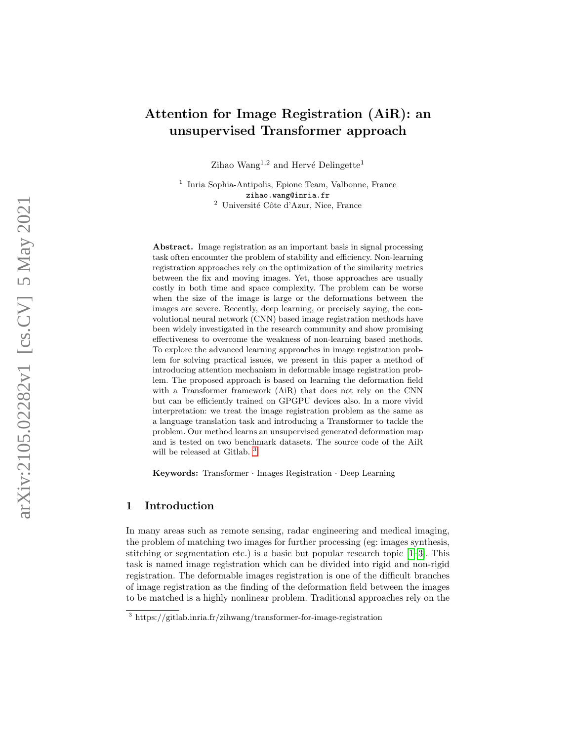# Attention for Image Registration (AiR): an unsupervised Transformer approach

Zihao Wang<sup>1,2</sup> and Hervé Delingette<sup>1</sup>

<sup>1</sup> Inria Sophia-Antipolis, Epione Team, Valbonne, France zihao.wang@inria.fr  $2$  Université Côte d'Azur, Nice, France

Abstract. Image registration as an important basis in signal processing task often encounter the problem of stability and efficiency. Non-learning registration approaches rely on the optimization of the similarity metrics between the fix and moving images. Yet, those approaches are usually costly in both time and space complexity. The problem can be worse when the size of the image is large or the deformations between the images are severe. Recently, deep learning, or precisely saying, the convolutional neural network (CNN) based image registration methods have been widely investigated in the research community and show promising effectiveness to overcome the weakness of non-learning based methods. To explore the advanced learning approaches in image registration problem for solving practical issues, we present in this paper a method of introducing attention mechanism in deformable image registration problem. The proposed approach is based on learning the deformation field with a Transformer framework (AiR) that does not rely on the CNN but can be efficiently trained on GPGPU devices also. In a more vivid interpretation: we treat the image registration problem as the same as a language translation task and introducing a Transformer to tackle the problem. Our method learns an unsupervised generated deformation map and is tested on two benchmark datasets. The source code of the AiR will be released at Gitlab. <sup>[3](#page-0-0)</sup>

Keywords: Transformer · Images Registration · Deep Learning

### 1 Introduction

In many areas such as remote sensing, radar engineering and medical imaging, the problem of matching two images for further processing (eg: images synthesis, stitching or segmentation etc.) is a basic but popular research topic  $[1-3]$  $[1-3]$ . This task is named image registration which can be divided into rigid and non-rigid registration. The deformable images registration is one of the difficult branches of image registration as the finding of the deformation field between the images to be matched is a highly nonlinear problem. Traditional approaches rely on the

<span id="page-0-0"></span> $\frac{3 \text{ https://github.inria.fr/zihwang/transfer}$  for-image-registration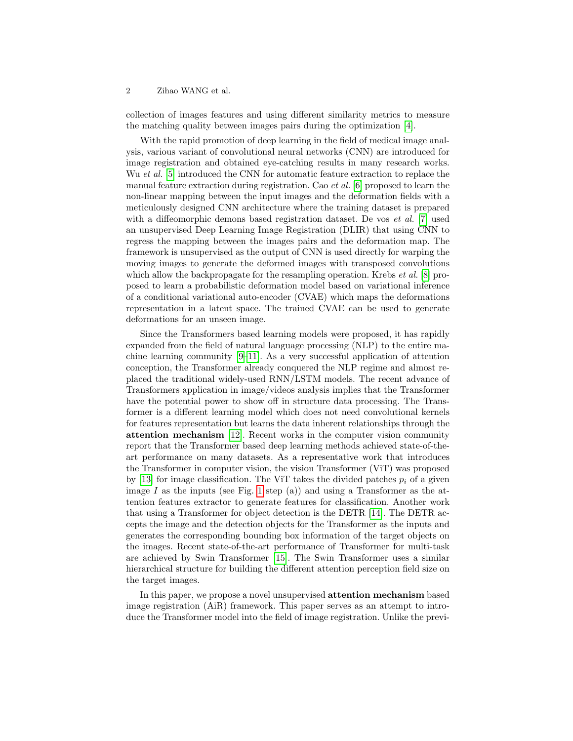#### 2 Zihao WANG et al.

collection of images features and using different similarity metrics to measure the matching quality between images pairs during the optimization [\[4\]](#page-7-2).

With the rapid promotion of deep learning in the field of medical image analysis, various variant of convolutional neural networks (CNN) are introduced for image registration and obtained eye-catching results in many research works. Wu *et al.* [\[5\]](#page-7-3) introduced the CNN for automatic feature extraction to replace the manual feature extraction during registration. Cao et al. [\[6\]](#page-7-4) proposed to learn the non-linear mapping between the input images and the deformation fields with a meticulously designed CNN architecture where the training dataset is prepared with a diffeomorphic demons based registration dataset. De vos *et al.* [\[7\]](#page-7-5) used an unsupervised Deep Learning Image Registration (DLIR) that using CNN to regress the mapping between the images pairs and the deformation map. The framework is unsupervised as the output of CNN is used directly for warping the moving images to generate the deformed images with transposed convolutions which allow the backpropagate for the resampling operation. Krebs *et al.* [\[8\]](#page-7-6) proposed to learn a probabilistic deformation model based on variational inference of a conditional variational auto-encoder (CVAE) which maps the deformations representation in a latent space. The trained CVAE can be used to generate deformations for an unseen image.

Since the Transformers based learning models were proposed, it has rapidly expanded from the field of natural language processing (NLP) to the entire machine learning community  $[9-11]$  $[9-11]$ . As a very successful application of attention conception, the Transformer already conquered the NLP regime and almost replaced the traditional widely-used RNN/LSTM models. The recent advance of Transformers application in image/videos analysis implies that the Transformer have the potential power to show off in structure data processing. The Transformer is a different learning model which does not need convolutional kernels for features representation but learns the data inherent relationships through the attention mechanism [\[12\]](#page-7-9). Recent works in the computer vision community report that the Transformer based deep learning methods achieved state-of-theart performance on many datasets. As a representative work that introduces the Transformer in computer vision, the vision Transformer (ViT) was proposed by [\[13\]](#page-7-10) for image classification. The ViT takes the divided patches  $p_i$  of a given image I as the inputs (see Fig. [1](#page-2-0) step (a)) and using a Transformer as the attention features extractor to generate features for classification. Another work that using a Transformer for object detection is the DETR [\[14\]](#page-8-0). The DETR accepts the image and the detection objects for the Transformer as the inputs and generates the corresponding bounding box information of the target objects on the images. Recent state-of-the-art performance of Transformer for multi-task are achieved by Swin Transformer [\[15\]](#page-8-1). The Swin Transformer uses a similar hierarchical structure for building the different attention perception field size on the target images.

In this paper, we propose a novel unsupervised attention mechanism based image registration (AiR) framework. This paper serves as an attempt to introduce the Transformer model into the field of image registration. Unlike the previ-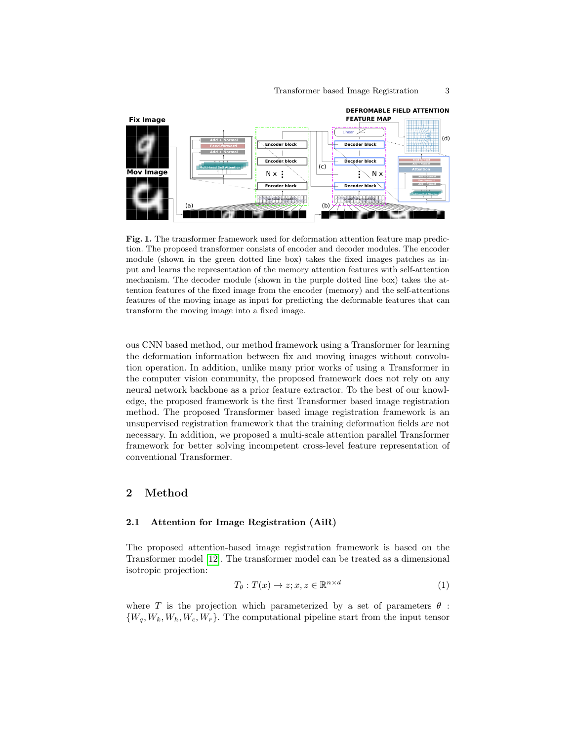

<span id="page-2-0"></span>Fig. 1. The transformer framework used for deformation attention feature map prediction. The proposed transformer consists of encoder and decoder modules. The encoder module (shown in the green dotted line box) takes the fixed images patches as input and learns the representation of the memory attention features with self-attention mechanism. The decoder module (shown in the purple dotted line box) takes the attention features of the fixed image from the encoder (memory) and the self-attentions features of the moving image as input for predicting the deformable features that can transform the moving image into a fixed image.

ous CNN based method, our method framework using a Transformer for learning the deformation information between fix and moving images without convolution operation. In addition, unlike many prior works of using a Transformer in the computer vision community, the proposed framework does not rely on any neural network backbone as a prior feature extractor. To the best of our knowledge, the proposed framework is the first Transformer based image registration method. The proposed Transformer based image registration framework is an unsupervised registration framework that the training deformation fields are not necessary. In addition, we proposed a multi-scale attention parallel Transformer framework for better solving incompetent cross-level feature representation of conventional Transformer.

## 2 Method

#### 2.1 Attention for Image Registration (AiR)

The proposed attention-based image registration framework is based on the Transformer model [\[12\]](#page-7-9). The transformer model can be treated as a dimensional isotropic projection:

$$
T_{\theta}: T(x) \to z; x, z \in \mathbb{R}^{n \times d}
$$
 (1)

where T is the projection which parameterized by a set of parameters  $\theta$ :  ${W_q, W_k, W_h, W_c, W_r}$ . The computational pipeline start from the input tensor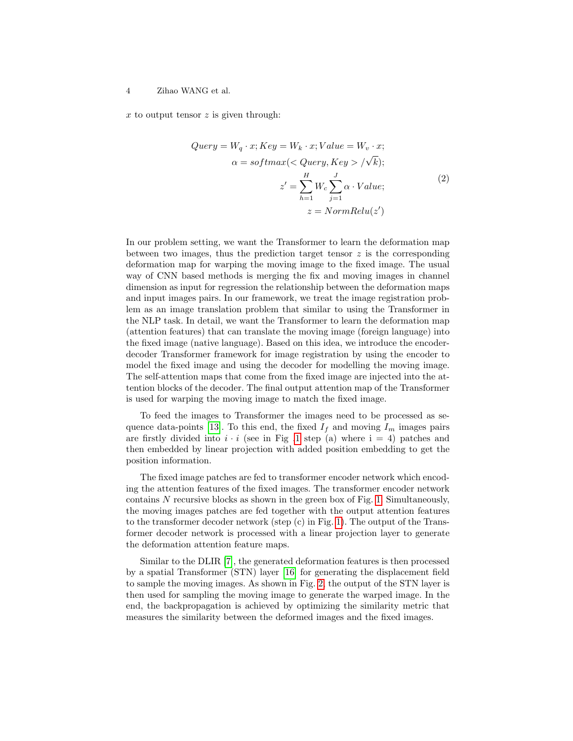x to output tensor  $z$  is given through:

$$
Query = W_q \cdot x; Key = W_k \cdot x; Value = W_v \cdot x; \n\alpha = softmax(Query, Key > / \sqrt{k}); \nz' = \sum_{h=1}^{H} W_c \sum_{j=1}^{J} \alpha \cdot Value; \nz = NormRelu(z')
$$
\n(2)

In our problem setting, we want the Transformer to learn the deformation map between two images, thus the prediction target tensor  $z$  is the corresponding deformation map for warping the moving image to the fixed image. The usual way of CNN based methods is merging the fix and moving images in channel dimension as input for regression the relationship between the deformation maps and input images pairs. In our framework, we treat the image registration problem as an image translation problem that similar to using the Transformer in the NLP task. In detail, we want the Transformer to learn the deformation map (attention features) that can translate the moving image (foreign language) into the fixed image (native language). Based on this idea, we introduce the encoderdecoder Transformer framework for image registration by using the encoder to model the fixed image and using the decoder for modelling the moving image. The self-attention maps that come from the fixed image are injected into the attention blocks of the decoder. The final output attention map of the Transformer is used for warping the moving image to match the fixed image.

To feed the images to Transformer the images need to be processed as se-quence data-points [\[13\]](#page-7-10). To this end, the fixed  $I_f$  and moving  $I_m$  images pairs are firstly divided into  $i \cdot i$  (see in Fig [.1](#page-2-0) step (a) where  $i = 4$ ) patches and then embedded by linear projection with added position embedding to get the position information.

The fixed image patches are fed to transformer encoder network which encoding the attention features of the fixed images. The transformer encoder network contains  $N$  recursive blocks as shown in the green box of Fig. [1.](#page-2-0) Simultaneously, the moving images patches are fed together with the output attention features to the transformer decoder network (step (c) in Fig. [1\)](#page-2-0). The output of the Transformer decoder network is processed with a linear projection layer to generate the deformation attention feature maps.

Similar to the DLIR [\[7\]](#page-7-5), the generated deformation features is then processed by a spatial Transformer (STN) layer [\[16\]](#page-8-2) for generating the displacement field to sample the moving images. As shown in Fig. [2,](#page-4-0) the output of the STN layer is then used for sampling the moving image to generate the warped image. In the end, the backpropagation is achieved by optimizing the similarity metric that measures the similarity between the deformed images and the fixed images.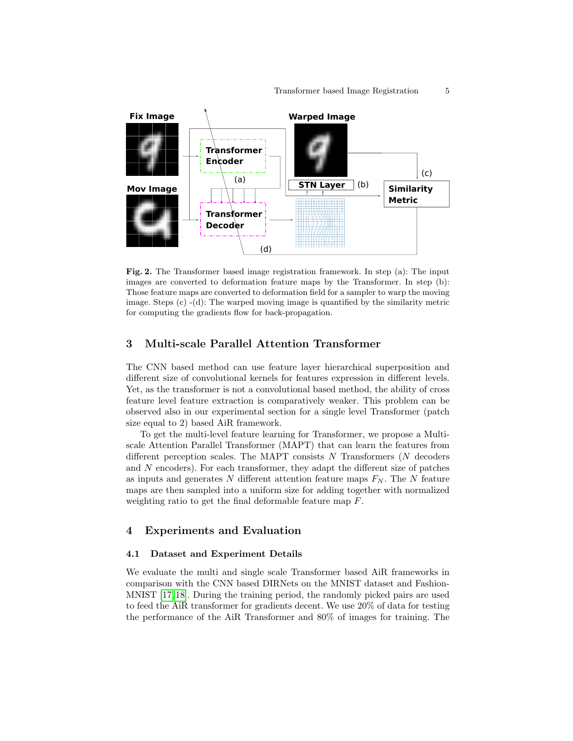

<span id="page-4-0"></span>Fig. 2. The Transformer based image registration framework. In step (a): The input images are converted to deformation feature maps by the Transformer. In step (b): Those feature maps are converted to deformation field for a sampler to warp the moving image. Steps (c) -(d): The warped moving image is quantified by the similarity metric for computing the gradients flow for back-propagation.

## 3 Multi-scale Parallel Attention Transformer

The CNN based method can use feature layer hierarchical superposition and different size of convolutional kernels for features expression in different levels. Yet, as the transformer is not a convolutional based method, the ability of cross feature level feature extraction is comparatively weaker. This problem can be observed also in our experimental section for a single level Transformer (patch size equal to 2) based AiR framework.

To get the multi-level feature learning for Transformer, we propose a Multiscale Attention Parallel Transformer (MAPT) that can learn the features from different perception scales. The MAPT consists  $N$  Transformers  $(N)$  decoders and  $N$  encoders). For each transformer, they adapt the different size of patches as inputs and generates N different attention feature maps  $F_N$ . The N feature maps are then sampled into a uniform size for adding together with normalized weighting ratio to get the final deformable feature map F.

## 4 Experiments and Evaluation

#### 4.1 Dataset and Experiment Details

We evaluate the multi and single scale Transformer based AiR frameworks in comparison with the CNN based DIRNets on the MNIST dataset and Fashion-MNIST [\[17,](#page-8-3) [18\]](#page-8-4). During the training period, the randomly picked pairs are used to feed the AiR transformer for gradients decent. We use 20% of data for testing the performance of the AiR Transformer and 80% of images for training. The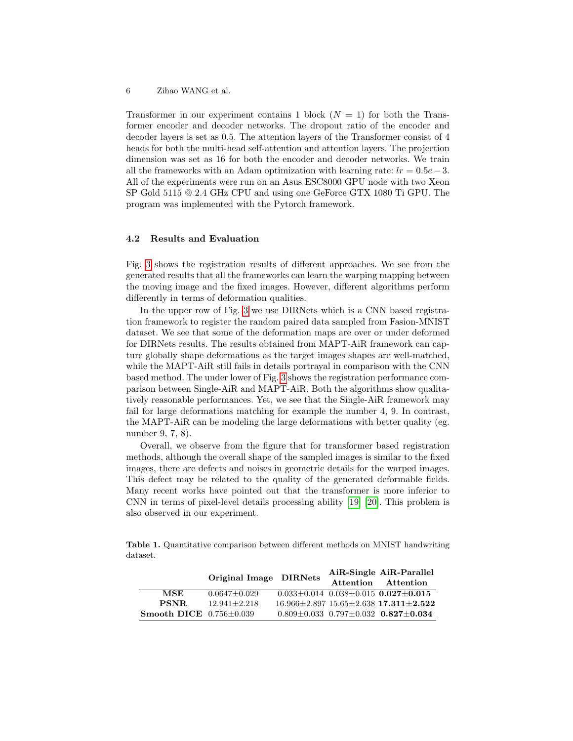6 Zihao WANG et al.

Transformer in our experiment contains 1 block  $(N = 1)$  for both the Transformer encoder and decoder networks. The dropout ratio of the encoder and decoder layers is set as 0.5. The attention layers of the Transformer consist of 4 heads for both the multi-head self-attention and attention layers. The projection dimension was set as 16 for both the encoder and decoder networks. We train all the frameworks with an Adam optimization with learning rate:  $lr = 0.5e-3$ . All of the experiments were run on an Asus ESC8000 GPU node with two Xeon SP Gold 5115 @ 2.4 GHz CPU and using one GeForce GTX 1080 Ti GPU. The program was implemented with the Pytorch framework.

#### 4.2 Results and Evaluation

Fig. [3](#page-6-0) shows the registration results of different approaches. We see from the generated results that all the frameworks can learn the warping mapping between the moving image and the fixed images. However, different algorithms perform differently in terms of deformation qualities.

In the upper row of Fig. [3](#page-6-0) we use DIRNets which is a CNN based registration framework to register the random paired data sampled from Fasion-MNIST dataset. We see that some of the deformation maps are over or under deformed for DIRNets results. The results obtained from MAPT-AiR framework can capture globally shape deformations as the target images shapes are well-matched, while the MAPT-AiR still fails in details portrayal in comparison with the CNN based method. The under lower of Fig. [3](#page-6-0) shows the registration performance comparison between Single-AiR and MAPT-AiR. Both the algorithms show qualitatively reasonable performances. Yet, we see that the Single-AiR framework may fail for large deformations matching for example the number 4, 9. In contrast, the MAPT-AiR can be modeling the large deformations with better quality (eg. number 9, 7, 8).

Overall, we observe from the figure that for transformer based registration methods, although the overall shape of the sampled images is similar to the fixed images, there are defects and noises in geometric details for the warped images. This defect may be related to the quality of the generated deformable fields. Many recent works have pointed out that the transformer is more inferior to CNN in terms of pixel-level details processing ability [\[19\]](#page-8-5) [\[20\]](#page-8-6). This problem is also observed in our experiment.

<span id="page-5-0"></span>Table 1. Quantitative comparison between different methods on MNIST handwriting dataset.

|                             | Original Image DIRNets |  | AiR-Single AiR-Parallel                                 |
|-----------------------------|------------------------|--|---------------------------------------------------------|
|                             |                        |  | Attention Attention                                     |
| MSE                         | $0.0647 + 0.029$       |  | $0.033 \pm 0.014$ $0.038 \pm 0.015$ $0.027 \pm 0.015$   |
| <b>PSNR</b>                 | $12.941 + 2.218$       |  | $16.966 \pm 2.897$ $15.65 \pm 2.638$ $17.311 \pm 2.522$ |
| Smooth DICE $0.756\pm0.039$ |                        |  | $0.809 + 0.033$ $0.797 + 0.032$ $0.827 + 0.034$         |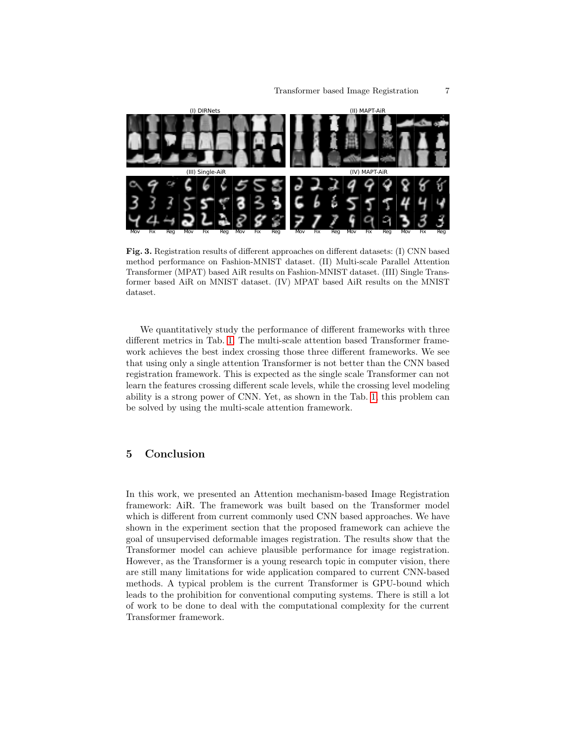

<span id="page-6-0"></span>Fig. 3. Registration results of different approaches on different datasets: (I) CNN based method performance on Fashion-MNIST dataset. (II) Multi-scale Parallel Attention Transformer (MPAT) based AiR results on Fashion-MNIST dataset. (III) Single Transformer based AiR on MNIST dataset. (IV) MPAT based AiR results on the MNIST dataset.

We quantitatively study the performance of different frameworks with three different metrics in Tab. [1.](#page-5-0) The multi-scale attention based Transformer framework achieves the best index crossing those three different frameworks. We see that using only a single attention Transformer is not better than the CNN based registration framework. This is expected as the single scale Transformer can not learn the features crossing different scale levels, while the crossing level modeling ability is a strong power of CNN. Yet, as shown in the Tab. [1,](#page-5-0) this problem can be solved by using the multi-scale attention framework.

## 5 Conclusion

In this work, we presented an Attention mechanism-based Image Registration framework: AiR. The framework was built based on the Transformer model which is different from current commonly used CNN based approaches. We have shown in the experiment section that the proposed framework can achieve the goal of unsupervised deformable images registration. The results show that the Transformer model can achieve plausible performance for image registration. However, as the Transformer is a young research topic in computer vision, there are still many limitations for wide application compared to current CNN-based methods. A typical problem is the current Transformer is GPU-bound which leads to the prohibition for conventional computing systems. There is still a lot of work to be done to deal with the computational complexity for the current Transformer framework.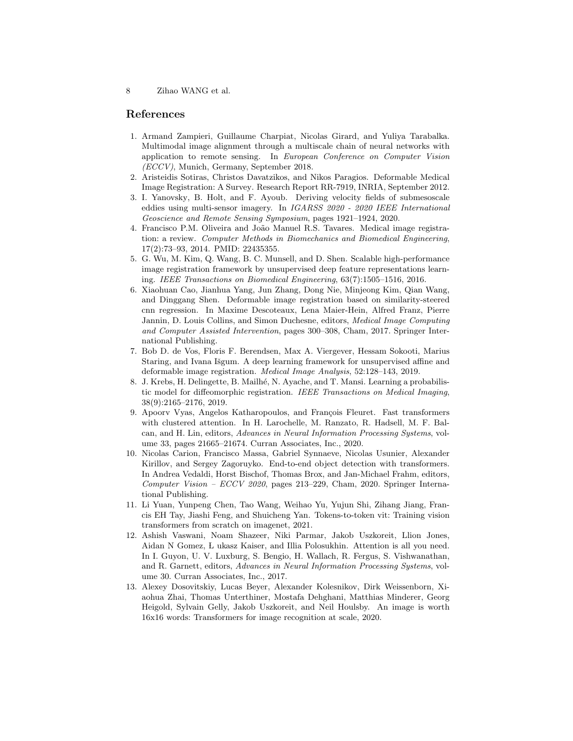8 Zihao WANG et al.

## References

- <span id="page-7-0"></span>1. Armand Zampieri, Guillaume Charpiat, Nicolas Girard, and Yuliya Tarabalka. Multimodal image alignment through a multiscale chain of neural networks with application to remote sensing. In European Conference on Computer Vision (ECCV), Munich, Germany, September 2018.
- 2. Aristeidis Sotiras, Christos Davatzikos, and Nikos Paragios. Deformable Medical Image Registration: A Survey. Research Report RR-7919, INRIA, September 2012.
- <span id="page-7-1"></span>3. I. Yanovsky, B. Holt, and F. Ayoub. Deriving velocity fields of submesoscale eddies using multi-sensor imagery. In IGARSS 2020 - 2020 IEEE International Geoscience and Remote Sensing Symposium, pages 1921–1924, 2020.
- <span id="page-7-2"></span>4. Francisco P.M. Oliveira and João Manuel R.S. Tavares. Medical image registration: a review. Computer Methods in Biomechanics and Biomedical Engineering, 17(2):73–93, 2014. PMID: 22435355.
- <span id="page-7-3"></span>5. G. Wu, M. Kim, Q. Wang, B. C. Munsell, and D. Shen. Scalable high-performance image registration framework by unsupervised deep feature representations learning. IEEE Transactions on Biomedical Engineering, 63(7):1505–1516, 2016.
- <span id="page-7-4"></span>6. Xiaohuan Cao, Jianhua Yang, Jun Zhang, Dong Nie, Minjeong Kim, Qian Wang, and Dinggang Shen. Deformable image registration based on similarity-steered cnn regression. In Maxime Descoteaux, Lena Maier-Hein, Alfred Franz, Pierre Jannin, D. Louis Collins, and Simon Duchesne, editors, Medical Image Computing and Computer Assisted Intervention, pages 300–308, Cham, 2017. Springer International Publishing.
- <span id="page-7-5"></span>7. Bob D. de Vos, Floris F. Berendsen, Max A. Viergever, Hessam Sokooti, Marius Staring, and Ivana Išgum. A deep learning framework for unsupervised affine and deformable image registration. Medical Image Analysis, 52:128–143, 2019.
- <span id="page-7-6"></span>8. J. Krebs, H. Delingette, B. Mailhé, N. Ayache, and T. Mansi. Learning a probabilistic model for diffeomorphic registration. IEEE Transactions on Medical Imaging, 38(9):2165–2176, 2019.
- <span id="page-7-7"></span>9. Apoorv Vyas, Angelos Katharopoulos, and François Fleuret. Fast transformers with clustered attention. In H. Larochelle, M. Ranzato, R. Hadsell, M. F. Balcan, and H. Lin, editors, Advances in Neural Information Processing Systems, volume 33, pages 21665–21674. Curran Associates, Inc., 2020.
- 10. Nicolas Carion, Francisco Massa, Gabriel Synnaeve, Nicolas Usunier, Alexander Kirillov, and Sergey Zagoruyko. End-to-end object detection with transformers. In Andrea Vedaldi, Horst Bischof, Thomas Brox, and Jan-Michael Frahm, editors, Computer Vision – ECCV 2020, pages 213–229, Cham, 2020. Springer International Publishing.
- <span id="page-7-8"></span>11. Li Yuan, Yunpeng Chen, Tao Wang, Weihao Yu, Yujun Shi, Zihang Jiang, Francis EH Tay, Jiashi Feng, and Shuicheng Yan. Tokens-to-token vit: Training vision transformers from scratch on imagenet, 2021.
- <span id="page-7-9"></span>12. Ashish Vaswani, Noam Shazeer, Niki Parmar, Jakob Uszkoreit, Llion Jones, Aidan N Gomez, L ukasz Kaiser, and Illia Polosukhin. Attention is all you need. In I. Guyon, U. V. Luxburg, S. Bengio, H. Wallach, R. Fergus, S. Vishwanathan, and R. Garnett, editors, Advances in Neural Information Processing Systems, volume 30. Curran Associates, Inc., 2017.
- <span id="page-7-10"></span>13. Alexey Dosovitskiy, Lucas Beyer, Alexander Kolesnikov, Dirk Weissenborn, Xiaohua Zhai, Thomas Unterthiner, Mostafa Dehghani, Matthias Minderer, Georg Heigold, Sylvain Gelly, Jakob Uszkoreit, and Neil Houlsby. An image is worth 16x16 words: Transformers for image recognition at scale, 2020.